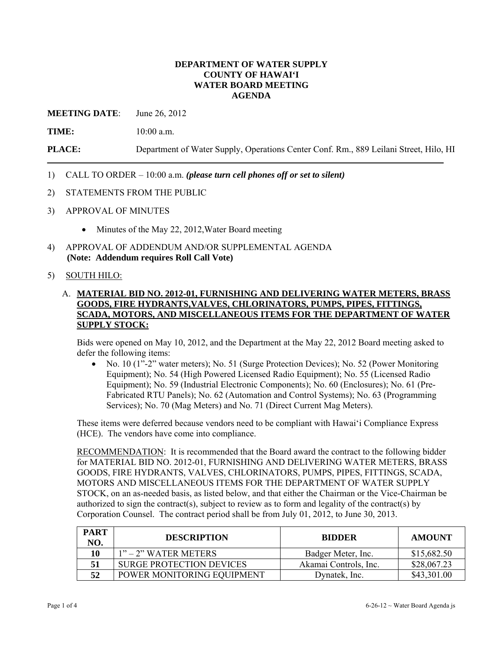### **DEPARTMENT OF WATER SUPPLY COUNTY OF HAWAI'I WATER BOARD MEETING AGENDA**

**MEETING DATE**: June 26, 2012

**TIME:** 10:00 a.m.

**PLACE:** Department of Water Supply, Operations Center Conf. Rm., 889 Leilani Street, Hilo, HI

- 1) CALL TO ORDER 10:00 a.m. *(please turn cell phones off or set to silent)*
- 2) STATEMENTS FROM THE PUBLIC
- 3) APPROVAL OF MINUTES
	- Minutes of the May 22, 2012, Water Board meeting
- 4) APPROVAL OF ADDENDUM AND/OR SUPPLEMENTAL AGENDA **(Note: Addendum requires Roll Call Vote)**

### 5) SOUTH HILO:

## A. **MATERIAL BID NO. 2012-01, FURNISHING AND DELIVERING WATER METERS, BRASS GOODS, FIRE HYDRANTS,VALVES, CHLORINATORS, PUMPS, PIPES, FITTINGS, SCADA, MOTORS, AND MISCELLANEOUS ITEMS FOR THE DEPARTMENT OF WATER SUPPLY STOCK:**

Bids were opened on May 10, 2012, and the Department at the May 22, 2012 Board meeting asked to defer the following items:

 No. 10 (1"-2" water meters); No. 51 (Surge Protection Devices); No. 52 (Power Monitoring Equipment); No. 54 (High Powered Licensed Radio Equipment); No. 55 (Licensed Radio Equipment); No. 59 (Industrial Electronic Components); No. 60 (Enclosures); No. 61 (Pre-Fabricated RTU Panels); No. 62 (Automation and Control Systems); No. 63 (Programming Services); No. 70 (Mag Meters) and No. 71 (Direct Current Mag Meters).

These items were deferred because vendors need to be compliant with Hawai'i Compliance Express (HCE). The vendors have come into compliance.

RECOMMENDATION: It is recommended that the Board award the contract to the following bidder for MATERIAL BID NO. 2012-01, FURNISHING AND DELIVERING WATER METERS, BRASS GOODS, FIRE HYDRANTS, VALVES, CHLORINATORS, PUMPS, PIPES, FITTINGS, SCADA, MOTORS AND MISCELLANEOUS ITEMS FOR THE DEPARTMENT OF WATER SUPPLY STOCK, on an as-needed basis, as listed below, and that either the Chairman or the Vice-Chairman be authorized to sign the contract(s), subject to review as to form and legality of the contract(s) by Corporation Counsel. The contract period shall be from July 01, 2012, to June 30, 2013.

| <b>PART</b><br>NO. | <b>DESCRIPTION</b>              | <b>BIDDER</b>         | <b>AMOUNT</b> |
|--------------------|---------------------------------|-----------------------|---------------|
| 10                 | $1"$ – 2" WATER METERS          | Badger Meter, Inc.    | \$15,682.50   |
|                    | <b>SURGE PROTECTION DEVICES</b> | Akamai Controls, Inc. | \$28,067.23   |
| 52                 | POWER MONITORING EQUIPMENT      | Dynatek, Inc.         | \$43,301.00   |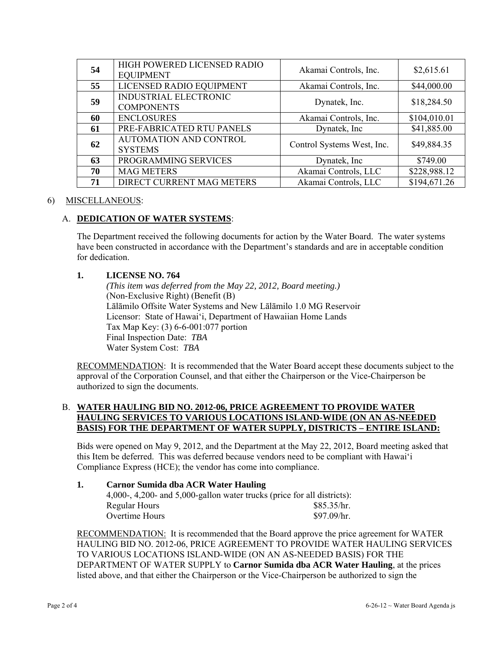| 54 | HIGH POWERED LICENSED RADIO<br><b>EQUIPMENT</b> | Akamai Controls, Inc.      | \$2,615.61   |
|----|-------------------------------------------------|----------------------------|--------------|
| 55 | LICENSED RADIO EQUIPMENT                        | Akamai Controls, Inc.      | \$44,000.00  |
| 59 | INDUSTRIAL ELECTRONIC<br><b>COMPONENTS</b>      | Dynatek, Inc.              | \$18,284.50  |
| 60 | <b>ENCLOSURES</b>                               | Akamai Controls, Inc.      | \$104,010.01 |
| 61 | PRE-FABRICATED RTU PANELS                       | Dynatek, Inc.              | \$41,885.00  |
| 62 | <b>AUTOMATION AND CONTROL</b><br><b>SYSTEMS</b> | Control Systems West, Inc. | \$49,884.35  |
| 63 | PROGRAMMING SERVICES                            | Dynatek, Inc.              | \$749.00     |
| 70 | <b>MAG METERS</b>                               | Akamai Controls, LLC       | \$228,988.12 |
| 71 | DIRECT CURRENT MAG METERS                       | Akamai Controls, LLC       | \$194,671.26 |

## 6) MISCELLANEOUS:

# A. **DEDICATION OF WATER SYSTEMS**:

The Department received the following documents for action by the Water Board. The water systems have been constructed in accordance with the Department's standards and are in acceptable condition for dedication.

## **1. LICENSE NO. 764**

 *(This item was deferred from the May 22, 2012, Board meeting.)*  (Non-Exclusive Right) (Benefit (B) Lālāmilo Offsite Water Systems and New Lālāmilo 1.0 MG Reservoir Licensor: State of Hawai'i, Department of Hawaiian Home Lands Tax Map Key: (3) 6-6-001:077 portion Final Inspection Date: *TBA* Water System Cost: *TBA*

RECOMMENDATION: It is recommended that the Water Board accept these documents subject to the approval of the Corporation Counsel, and that either the Chairperson or the Vice-Chairperson be authorized to sign the documents.

### B. **WATER HAULING BID NO. 2012-06, PRICE AGREEMENT TO PROVIDE WATER HAULING SERVICES TO VARIOUS LOCATIONS ISLAND-WIDE (ON AN AS-NEEDED BASIS) FOR THE DEPARTMENT OF WATER SUPPLY, DISTRICTS – ENTIRE ISLAND:**

Bids were opened on May 9, 2012, and the Department at the May 22, 2012, Board meeting asked that this Item be deferred. This was deferred because vendors need to be compliant with Hawai'i Compliance Express (HCE); the vendor has come into compliance.

### **1. Carnor Sumida dba ACR Water Hauling**

| 4,000-, 4,200- and 5,000-gallon water trucks (price for all districts): |             |
|-------------------------------------------------------------------------|-------------|
| Regular Hours                                                           | \$85.35/hr. |
| Overtime Hours                                                          | \$97.09/hr. |

RECOMMENDATION: It is recommended that the Board approve the price agreement for WATER HAULING BID NO. 2012-06, PRICE AGREEMENT TO PROVIDE WATER HAULING SERVICES TO VARIOUS LOCATIONS ISLAND-WIDE (ON AN AS-NEEDED BASIS) FOR THE DEPARTMENT OF WATER SUPPLY to **Carnor Sumida dba ACR Water Hauling**, at the prices listed above, and that either the Chairperson or the Vice-Chairperson be authorized to sign the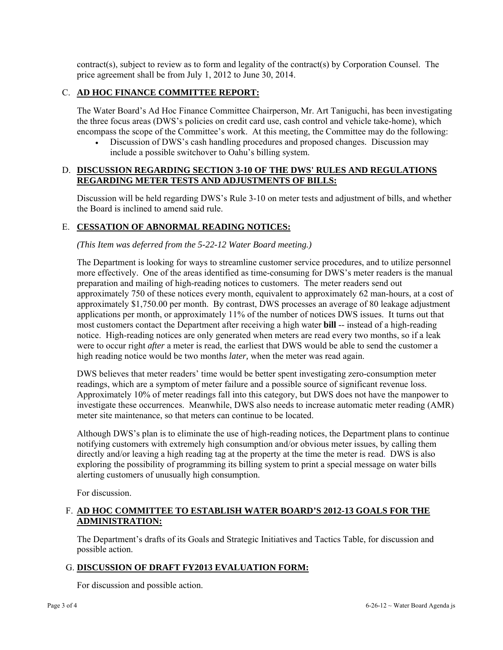contract(s), subject to review as to form and legality of the contract(s) by Corporation Counsel. The price agreement shall be from July 1, 2012 to June 30, 2014.

# C. **AD HOC FINANCE COMMITTEE REPORT:**

The Water Board's Ad Hoc Finance Committee Chairperson, Mr. Art Taniguchi, has been investigating the three focus areas (DWS's policies on credit card use, cash control and vehicle take-home), which encompass the scope of the Committee's work. At this meeting, the Committee may do the following:

 Discussion of DWS's cash handling procedures and proposed changes. Discussion may include a possible switchover to Oahu's billing system.

# D. **DISCUSSION REGARDING SECTION 3-10 OF THE DWS' RULES AND REGULATIONS REGARDING METER TESTS AND ADJUSTMENTS OF BILLS:**

Discussion will be held regarding DWS's Rule 3-10 on meter tests and adjustment of bills, and whether the Board is inclined to amend said rule.

## E. **CESSATION OF ABNORMAL READING NOTICES:**

### *(This Item was deferred from the 5-22-12 Water Board meeting.)*

The Department is looking for ways to streamline customer service procedures, and to utilize personnel more effectively. One of the areas identified as time-consuming for DWS's meter readers is the manual preparation and mailing of high-reading notices to customers. The meter readers send out approximately 750 of these notices every month, equivalent to approximately 62 man-hours, at a cost of approximately \$1,750.00 per month. By contrast, DWS processes an average of 80 leakage adjustment applications per month, or approximately 11% of the number of notices DWS issues. It turns out that most customers contact the Department after receiving a high water **bill** -- instead of a high-reading notice. High-reading notices are only generated when meters are read every two months, so if a leak were to occur right *after* a meter is read, the earliest that DWS would be able to send the customer a high reading notice would be two months *later,* when the meter was read again.

DWS believes that meter readers' time would be better spent investigating zero-consumption meter readings, which are a symptom of meter failure and a possible source of significant revenue loss. Approximately 10% of meter readings fall into this category, but DWS does not have the manpower to investigate these occurrences. Meanwhile, DWS also needs to increase automatic meter reading (AMR) meter site maintenance, so that meters can continue to be located.

Although DWS's plan is to eliminate the use of high-reading notices, the Department plans to continue notifying customers with extremely high consumption and/or obvious meter issues, by calling them directly and/or leaving a high reading tag at the property at the time the meter is read. DWS is also exploring the possibility of programming its billing system to print a special message on water bills alerting customers of unusually high consumption.

For discussion.

# F. **AD HOC COMMITTEE TO ESTABLISH WATER BOARD'S 2012-13 GOALS FOR THE ADMINISTRATION:**

The Department's drafts of its Goals and Strategic Initiatives and Tactics Table, for discussion and possible action.

### G. **DISCUSSION OF DRAFT FY2013 EVALUATION FORM:**

For discussion and possible action.